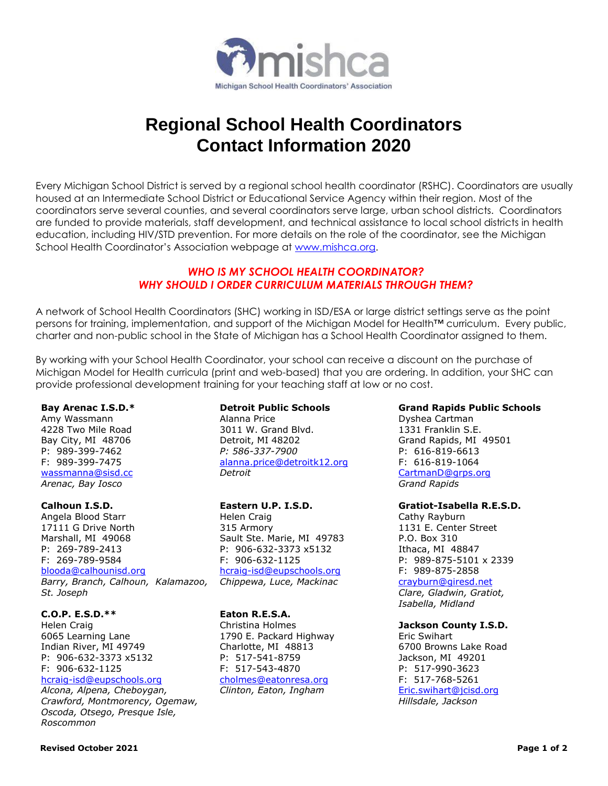

# **Regional School Health Coordinators Contact Information 2020**

Every Michigan School District is served by a regional school health coordinator (RSHC). Coordinators are usually housed at an Intermediate School District or Educational Service Agency within their region. Most of the coordinators serve several counties, and several coordinators serve large, urban school districts. Coordinators are funded to provide materials, staff development, and technical assistance to local school districts in health education, including HIV/STD prevention. For more details on the role of the coordinator, see the Michigan School Health Coordinator's Association webpage at [www.mishca.org.](http://www.mishca.org/)

# *WHO IS MY SCHOOL HEALTH COORDINATOR? WHY SHOULD I ORDER CURRICULUM MATERIALS THROUGH THEM?*

A network of School Health Coordinators (SHC) working in ISD/ESA or large district settings serve as the point persons for training, implementation, and support of the Michigan Model for Health™ curriculum. Every public, charter and non-public school in the State of Michigan has a School Health Coordinator assigned to them.

By working with your School Health Coordinator, your school can receive a discount on the purchase of Michigan Model for Health curricula (print and web-based) that you are ordering. In addition, your SHC can provide professional development training for your teaching staff at low or no cost.

## **Bay Arenac I.S.D.\***

Amy Wassmann 4228 Two Mile Road Bay City, MI 48706 P: 989-399-7462 F: 989-399-7475 [wassmanna@sisd.cc](mailto:wassmanna@sisd.cc) *Arenac, Bay Iosco*

## **Calhoun I.S.D.**

Angela Blood Starr 17111 G Drive North Marshall, MI 49068 P: 269-789-2413 F: 269-789-9584 [blooda@calhounisd.org](mailto:blooda@calhounisd.org) *Barry, Branch, Calhoun, Kalamazoo, St. Joseph* 

## **C.O.P. E.S.D.\*\***

Helen Craig 6065 Learning Lane Indian River, MI 49749 P: 906-632-3373 x5132 F: 906-632-1125

## [hcraig-isd@eupschools.org](mailto:hcraig-isd@eupschools.org)

*Alcona, Alpena, Cheboygan, Crawford, Montmorency, Ogemaw, Oscoda, Otsego, Presque Isle, Roscommon*

#### **Detroit Public Schools** Alanna Price

3011 W. Grand Blvd. Detroit, MI 48202 *P: 586-337-7900*  [alanna.price@detroitk12.org](mailto:alanna.price@detroitk12.org) *Detroit*

# **Eastern U.P. I.S.D.**

Helen Craig 315 Armory Sault Ste. Marie, MI 49783 P: 906-632-3373 x5132 F: 906-632-1125 [hcraig-isd@eupschools.org](mailto:hcraig-isd@eupschools.org) *Chippewa, Luce, Mackinac*

## **Eaton R.E.S.A.**

Christina Holmes 1790 E. Packard Highway Charlotte, MI 48813 P: 517-541-8759 F: 517-543-4870 [cholmes@eatonresa.org](mailto:cholmes@eatonresa.org) *Clinton, Eaton, Ingham*

# **Grand Rapids Public Schools**

Dyshea Cartman 1331 Franklin S.E. Grand Rapids, MI 49501 P: 616-819-6613 F: 616-819-1064 [CartmanD@grps.org](mailto:CartmanD@grps.org) *Grand Rapids*

## **Gratiot-Isabella R.E.S.D.**

Cathy Rayburn 1131 E. Center Street P.O. Box 310 Ithaca, MI 48847 P: 989-875-5101 x 2339 F: 989-875-2858 [crayburn@giresd.net](mailto:crayburn@giresd.net)

*Clare, Gladwin, Gratiot, Isabella, Midland*

# **Jackson County I.S.D.**

Eric Swihart 6700 Browns Lake Road Jackson, MI 49201 P: 517-990-3623 F: 517-768-5261 [Eric.swihart@jcisd.org](mailto:Eric.swihart@jcisd.org) *Hillsdale, Jackson*